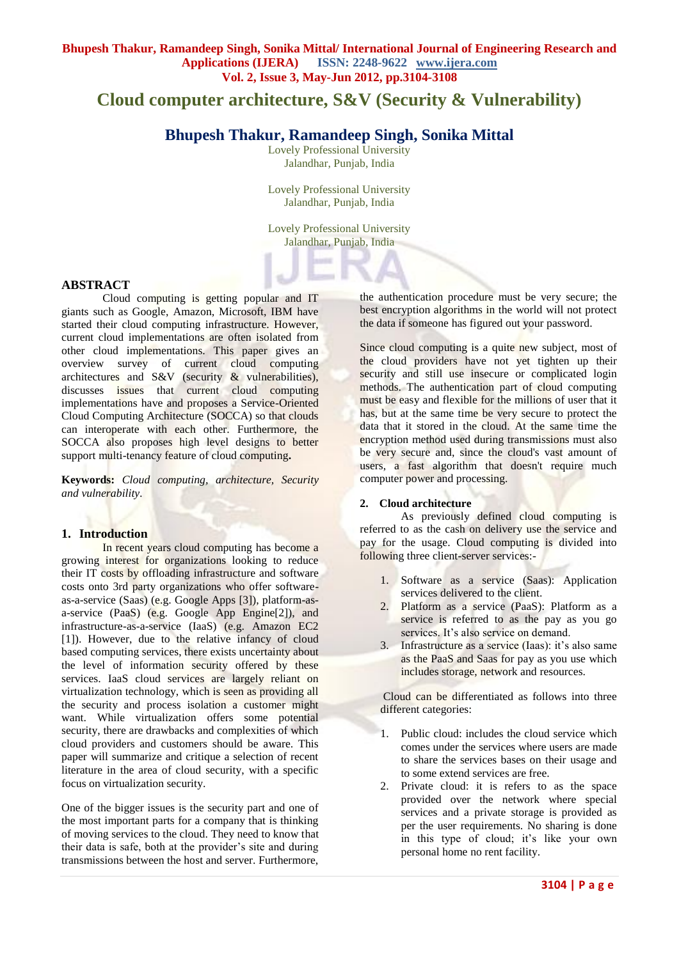# **Cloud computer architecture, S&V (Security & Vulnerability)**

## **Bhupesh Thakur, Ramandeep Singh, Sonika Mittal**

Lovely Professional University Jalandhar, Punjab, India

Lovely Professional University Jalandhar, Punjab, India

Lovely Professional University Jalandhar, Punjab, India

## **ABSTRACT**

Cloud computing is getting popular and IT giants such as Google, Amazon, Microsoft, IBM have started their cloud computing infrastructure. However, current cloud implementations are often isolated from other cloud implementations. This paper gives an overview survey of current cloud computing architectures and S&V (security & vulnerabilities), discusses issues that current cloud computing implementations have and proposes a Service-Oriented Cloud Computing Architecture (SOCCA) so that clouds can interoperate with each other. Furthermore, the SOCCA also proposes high level designs to better support multi-tenancy feature of cloud computing**.**

**Keywords:** *Cloud computing, architecture, Security and vulnerability.*

#### **1. Introduction**

In recent years cloud computing has become a growing interest for organizations looking to reduce their IT costs by offloading infrastructure and software costs onto 3rd party organizations who offer softwareas-a-service (Saas) (e.g. Google Apps [3]), platform-asa-service (PaaS) (e.g. Google App Engine[2]), and infrastructure-as-a-service (IaaS) (e.g. Amazon EC2 [1]). However, due to the relative infancy of cloud based computing services, there exists uncertainty about the level of information security offered by these services. IaaS cloud services are largely reliant on virtualization technology, which is seen as providing all the security and process isolation a customer might want. While virtualization offers some potential security, there are drawbacks and complexities of which cloud providers and customers should be aware. This paper will summarize and critique a selection of recent literature in the area of cloud security, with a specific focus on virtualization security.

One of the bigger issues is the security part and one of the most important parts for a company that is thinking of moving services to the cloud. They need to know that their data is safe, both at the provider's site and during transmissions between the host and server. Furthermore,

the authentication procedure must be very secure; the best encryption algorithms in the world will not protect the data if someone has figured out your password.

Since cloud computing is a quite new subject, most of the cloud providers have not yet tighten up their security and still use insecure or complicated login methods. The authentication part of cloud computing must be easy and flexible for the millions of user that it has, but at the same time be very secure to protect the data that it stored in the cloud. At the same time the encryption method used during transmissions must also be very secure and, since the cloud's vast amount of users, a fast algorithm that doesn't require much computer power and processing.

### **2. Cloud architecture**

As previously defined cloud computing is referred to as the cash on delivery use the service and pay for the usage. Cloud computing is divided into following three client-server services:-

- 1. Software as a service (Saas): Application services delivered to the client.
- 2. Platform as a service (PaaS): Platform as a service is referred to as the pay as you go services. It's also service on demand.
- 3. Infrastructure as a service (Iaas): it's also same as the PaaS and Saas for pay as you use which includes storage, network and resources.

Cloud can be differentiated as follows into three different categories:

- 1. Public cloud: includes the cloud service which comes under the services where users are made to share the services bases on their usage and to some extend services are free.
- 2. Private cloud: it is refers to as the space provided over the network where special services and a private storage is provided as per the user requirements. No sharing is done in this type of cloud; it's like your own personal home no rent facility.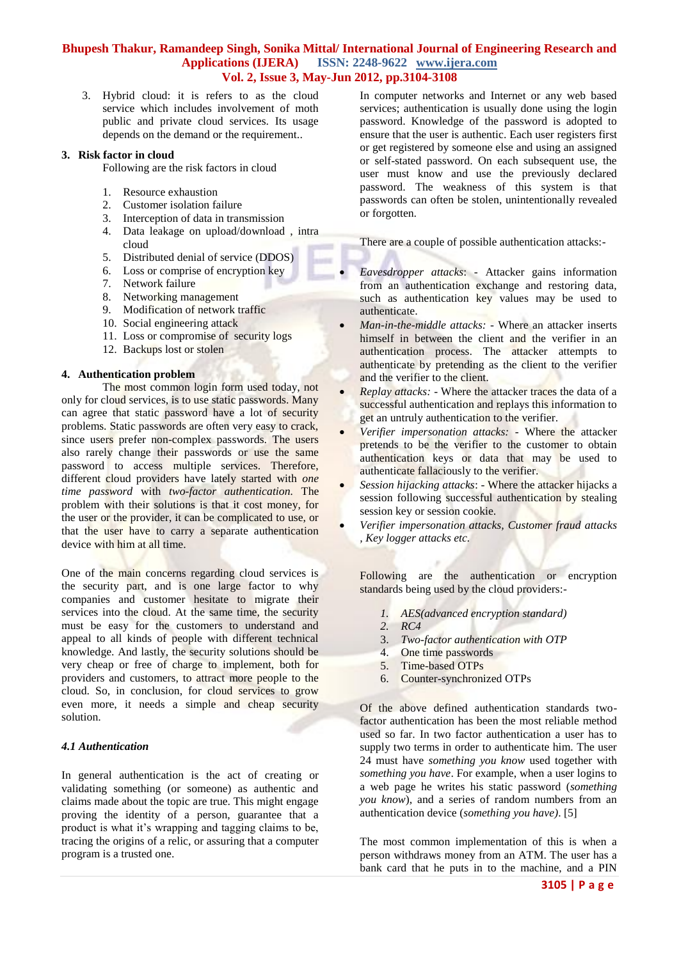3. Hybrid cloud: it is refers to as the cloud service which includes involvement of moth public and private cloud services. Its usage depends on the demand or the requirement..

#### **3. Risk factor in cloud**

Following are the risk factors in cloud

- 1. Resource exhaustion
- 2. Customer isolation failure
- 3. Interception of data in transmission
- 4. Data leakage on upload/download , intra cloud
- 5. Distributed denial of service (DDOS)
- 6. Loss or comprise of encryption key
- 7. Network failure
- 8. Networking management
- 9. Modification of network traffic
- 10. Social engineering attack
- 11. Loss or compromise of security logs
- 12. Backups lost or stolen

## **4. Authentication problem**

The most common login form used today, not only for cloud services, is to use static passwords. Many can agree that static password have a lot of security problems. Static passwords are often very easy to crack, since users prefer non-complex passwords. The users also rarely change their passwords or use the same password to access multiple services. Therefore, different cloud providers have lately started with *one time password* with *two-factor authentication.* The problem with their solutions is that it cost money, for the user or the provider, it can be complicated to use, or that the user have to carry a separate authentication device with him at all time.

One of the main concerns regarding cloud services is the security part, and is one large factor to why companies and customer hesitate to migrate their services into the cloud. At the same time, the security must be easy for the customers to understand and appeal to all kinds of people with different technical knowledge. And lastly, the security solutions should be very cheap or free of charge to implement, both for providers and customers, to attract more people to the cloud. So, in conclusion, for cloud services to grow even more, it needs a simple and cheap security solution.

## *4.1 Authentication*

In general authentication is the act of creating or validating something (or someone) as authentic and claims made about the topic are true. This might engage proving the identity of a person, guarantee that a product is what it's wrapping and tagging claims to be, tracing the origins of a relic, or assuring that a computer program is a trusted one.

In computer networks and Internet or any web based services; authentication is usually done using the login password. Knowledge of the password is adopted to ensure that the user is authentic. Each user registers first or get registered by someone else and using an assigned or self-stated password. On each subsequent use, the user must know and use the previously declared password. The weakness of this system is that passwords can often be stolen, unintentionally revealed or forgotten.

There are a couple of possible authentication attacks:-

- *Eavesdropper attacks*: Attacker gains information from an authentication exchange and restoring data, such as authentication key values may be used to authenticate.
- *Man-in-the-middle attacks: -* Where an attacker inserts himself in between the client and the verifier in an authentication process. The attacker attempts to authenticate by pretending as the client to the verifier and the verifier to the client.
- *Replay attacks: -* Where the attacker traces the data of a successful authentication and replays this information to get an untruly authentication to the verifier.
- *Verifier impersonation attacks: -* Where the attacker pretends to be the verifier to the customer to obtain authentication keys or data that may be used to authenticate fallaciously to the verifier.
- *Session hijacking attacks*: Where the attacker hijacks a session following successful authentication by stealing session key or session cookie.
- *Verifier impersonation attacks, Customer fraud attacks , Key logger attacks etc.*

Following are the authentication or encryption standards being used by the cloud providers:-

- *1. AES(advanced encryption standard)*
- *2. RC4*
- 3. *Two-factor authentication with OTP*
- One time passwords
- 5. Time-based OTPs
- 6. Counter-synchronized OTPs

Of the above defined authentication standards twofactor authentication has been the most reliable method used so far. In two factor authentication a user has to supply two terms in order to authenticate him. The user 24 must have *something you know* used together with *something you have*. For example, when a user logins to a web page he writes his static password (*something you know*), and a series of random numbers from an authentication device (*something you have)*. [5]

The most common implementation of this is when a person withdraws money from an ATM. The user has a bank card that he puts in to the machine, and a PIN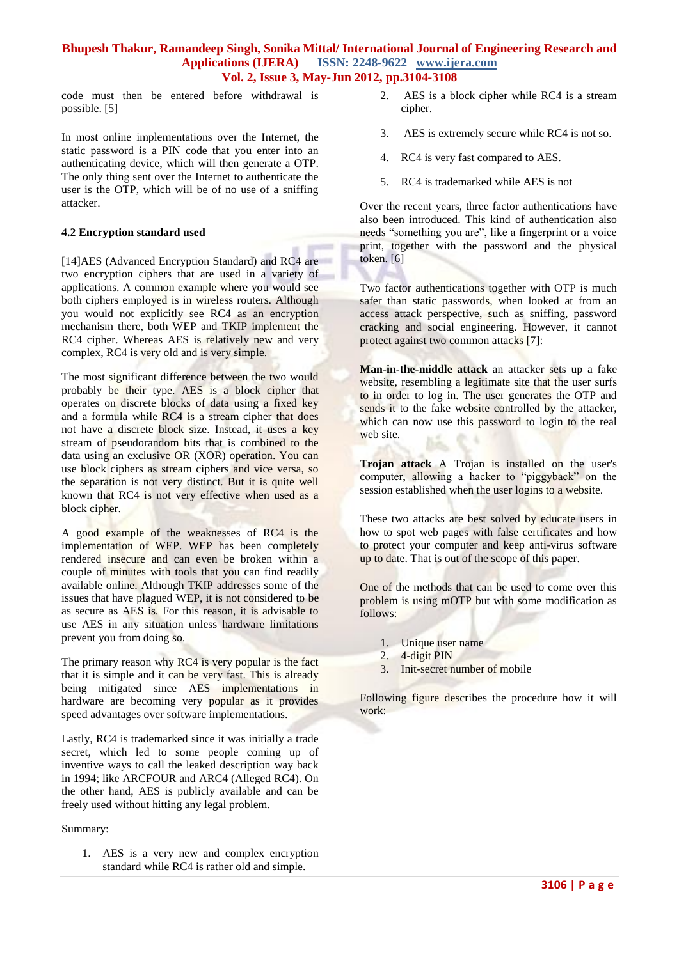code must then be entered before withdrawal is possible. [5]

In most online implementations over the Internet, the static password is a PIN code that you enter into an authenticating device, which will then generate a OTP. The only thing sent over the Internet to authenticate the user is the OTP, which will be of no use of a sniffing attacker.

#### **4.2 Encryption standard used**

[14]AES (Advanced Encryption Standard) and RC4 are two encryption ciphers that are used in a variety of applications. A common example where you would see both ciphers employed is in wireless routers. Although you would not explicitly see RC4 as an encryption mechanism there, both WEP and TKIP implement the RC4 cipher. Whereas AES is relatively new and very complex, RC4 is very old and is very simple.

The most significant difference between the two would probably be their type. AES is a block cipher that operates on discrete blocks of data using a fixed key and a formula while RC4 is a stream cipher that does not have a discrete block size. Instead, it uses a key stream of pseudorandom bits that is combined to the data using an exclusive OR (XOR) operation. You can use block ciphers as stream ciphers and vice versa, so the separation is not very distinct. But it is quite well known that RC4 is not very effective when used as a block cipher.

A good example of the weaknesses of RC4 is the implementation of WEP. WEP has been completely rendered insecure and can even be broken within a couple of minutes with tools that you can find readily available online. Although TKIP addresses some of the issues that have plagued WEP, it is not considered to be as secure as AES is. For this reason, it is advisable to use AES in any situation unless hardware limitations prevent you from doing so.

The primary reason why RC4 is very popular is the fact that it is simple and it can be very fast. This is already being mitigated since AES implementations in hardware are becoming very popular as it provides speed advantages over software implementations.

Lastly, RC4 is trademarked since it was initially a trade secret, which led to some people coming up of inventive ways to call the leaked description way back in 1994; like ARCFOUR and ARC4 (Alleged RC4). On the other hand, AES is publicly available and can be freely used without hitting any legal problem.

Summary:

1. AES is a very new and complex encryption standard while RC4 is rather old and simple.

- 2. AES is a block cipher while RC4 is a stream cipher.
- 3. AES is extremely secure while RC4 is not so.
- 4. RC4 is very fast compared to AES.
- 5. RC4 is trademarked while AES is not

Over the recent years, three factor authentications have also been introduced. This kind of authentication also needs "something you are", like a fingerprint or a voice print, together with the password and the physical token. [6]

Two factor authentications together with OTP is much safer than static passwords, when looked at from an access attack perspective, such as sniffing, password cracking and social engineering. However, it cannot protect against two common attacks [7]:

**Man-in-the-middle attack** an attacker sets up a fake website, resembling a legitimate site that the user surfs to in order to log in. The user generates the OTP and sends it to the fake website controlled by the attacker, which can now use this password to login to the real web site.

**Trojan attack** A Trojan is installed on the user's computer, allowing a hacker to "piggyback" on the session established when the user logins to a website.

These two attacks are best solved by educate users in how to spot web pages with false certificates and how to protect your computer and keep anti-virus software up to date. That is out of the scope of this paper.

One of the methods that can be used to come over this problem is using mOTP but with some modification as follows:

- 1. Unique user name
- 2. 4-digit PIN
- 3. Init-secret number of mobile

Following figure describes the procedure how it will work: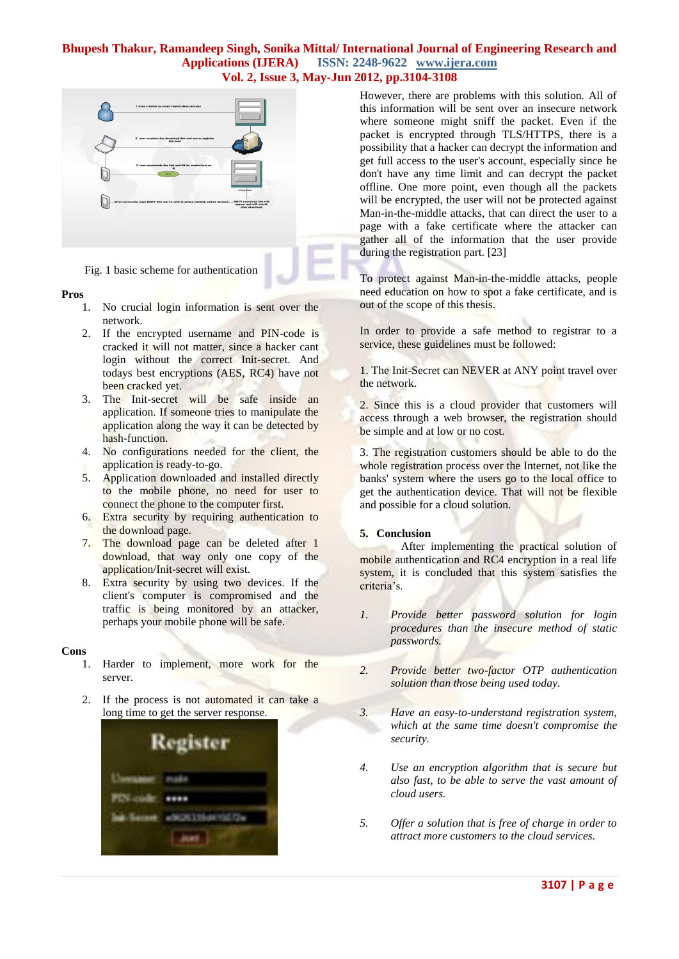

Fig. 1 basic scheme for authentication

#### **Pros**

- 1. No crucial login information is sent over the network.
- 2. If the encrypted username and PIN-code is cracked it will not matter, since a hacker cant login without the correct Init-secret. And todays best encryptions (AES, RC4) have not been cracked yet.
- 3. The Init-secret will be safe inside an application. If someone tries to manipulate the application along the way it can be detected by hash-function.
- 4. No configurations needed for the client, the application is ready-to-go.
- 5. Application downloaded and installed directly to the mobile phone, no need for user to connect the phone to the computer first.
- 6. Extra security by requiring authentication to the download page.
- 7. The download page can be deleted after 1 download, that way only one copy of the application/Init-secret will exist.
- 8. Extra security by using two devices. If the client's computer is compromised and the traffic is being monitored by an attacker, perhaps your mobile phone will be safe.

#### **Cons**

- 1. Harder to implement, more work for the server.
- 2. If the process is not automated it can take a long time to get the server response.



However, there are problems with this solution. All of this information will be sent over an insecure network where someone might sniff the packet. Even if the packet is encrypted through TLS/HTTPS, there is a possibility that a hacker can decrypt the information and get full access to the user's account, especially since he don't have any time limit and can decrypt the packet offline. One more point, even though all the packets will be encrypted, the user will not be protected against Man-in-the-middle attacks, that can direct the user to a page with a fake certificate where the attacker can gather all of the information that the user provide during the registration part. [23]

To protect against Man-in-the-middle attacks, people need education on how to spot a fake certificate, and is out of the scope of this thesis.

In order to provide a safe method to registrar to a service, these guidelines must be followed:

1. The Init-Secret can NEVER at ANY point travel over the network.

2. Since this is a cloud provider that customers will access through a web browser, the registration should be simple and at low or no cost.

3. The registration customers should be able to do the whole registration process over the Internet, not like the banks' system where the users go to the local office to get the authentication device. That will not be flexible and possible for a cloud solution.

## **5. Conclusion**

After implementing the practical solution of mobile authentication and RC4 encryption in a real life system, it is concluded that this system satisfies the criteria's.

- *1. Provide better password solution for login procedures than the insecure method of static passwords.*
- *2. Provide better two-factor OTP authentication solution than those being used today.*
- *3. Have an easy-to-understand registration system, which at the same time doesn't compromise the security.*
- *4. Use an encryption algorithm that is secure but also fast, to be able to serve the vast amount of cloud users.*
- *5. Offer a solution that is free of charge in order to attract more customers to the cloud services.*